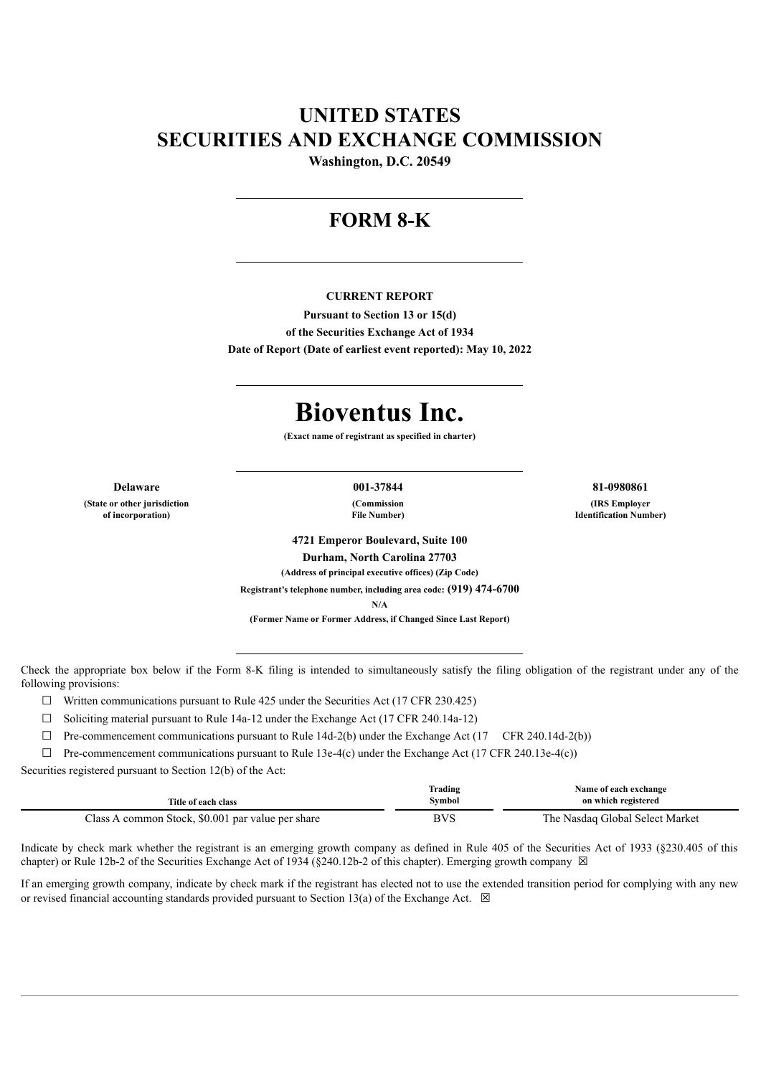# **UNITED STATES SECURITIES AND EXCHANGE COMMISSION**

**Washington, D.C. 20549**

# **FORM 8-K**

#### **CURRENT REPORT**

**Pursuant to Section 13 or 15(d) of the Securities Exchange Act of 1934 Date of Report (Date of earliest event reported): May 10, 2022**

# **Bioventus Inc.**

**(Exact name of registrant as specified in charter)**

**Delaware 001-37844 81-0980861 (State or other jurisdiction of incorporation)**

**(Commission File Number)**

**(IRS Employer Identification Number)**

**4721 Emperor Boulevard, Suite 100 Durham, North Carolina 27703 (Address of principal executive offices) (Zip Code) Registrant's telephone number, including area code: (919) 474-6700 N/A**

**(Former Name or Former Address, if Changed Since Last Report)**

Check the appropriate box below if the Form 8-K filing is intended to simultaneously satisfy the filing obligation of the registrant under any of the following provisions:

 $\Box$  Written communications pursuant to Rule 425 under the Securities Act (17 CFR 230.425)

 $\Box$  Soliciting material pursuant to Rule 14a-12 under the Exchange Act (17 CFR 240.14a-12)

 $\Box$  Pre-commencement communications pursuant to Rule 14d-2(b) under the Exchange Act (17 CFR 240.14d-2(b))

 $\Box$  Pre-commencement communications pursuant to Rule 13e-4(c) under the Exchange Act (17 CFR 240.13e-4(c))

Securities registered pursuant to Section 12(b) of the Act:

|                                                   | Trading | Name of each exchange           |
|---------------------------------------------------|---------|---------------------------------|
| Title of each class                               | Symbol  | on which registered             |
| Class A common Stock, \$0.001 par value per share | BVS     | The Nasdaq Global Select Market |

Indicate by check mark whether the registrant is an emerging growth company as defined in Rule 405 of the Securities Act of 1933 (§230.405 of this chapter) or Rule 12b-2 of the Securities Exchange Act of 1934 (§240.12b-2 of this chapter). Emerging growth company  $\boxtimes$ 

If an emerging growth company, indicate by check mark if the registrant has elected not to use the extended transition period for complying with any new or revised financial accounting standards provided pursuant to Section 13(a) of the Exchange Act.  $\boxtimes$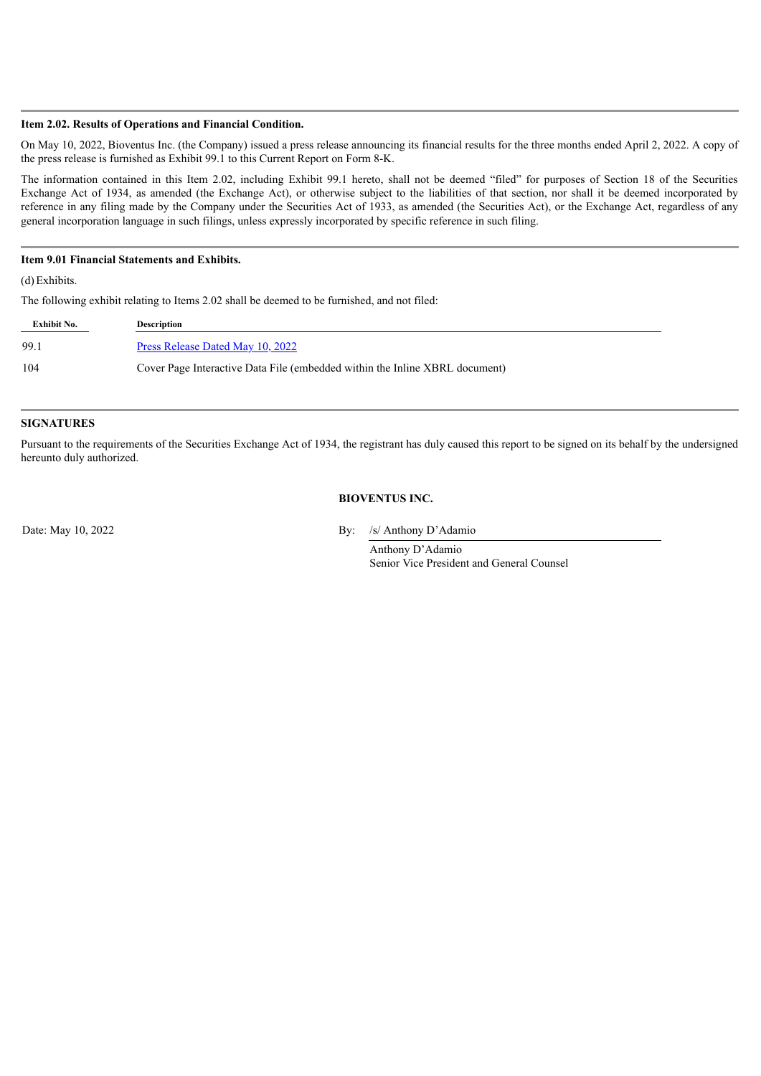#### **Item 2.02. Results of Operations and Financial Condition.**

On May 10, 2022, Bioventus Inc. (the Company) issued a press release announcing its financial results for the three months ended April 2, 2022. A copy of the press release is furnished as Exhibit 99.1 to this Current Report on Form 8-K.

The information contained in this Item 2.02, including Exhibit 99.1 hereto, shall not be deemed "filed" for purposes of Section 18 of the Securities Exchange Act of 1934, as amended (the Exchange Act), or otherwise subject to the liabilities of that section, nor shall it be deemed incorporated by reference in any filing made by the Company under the Securities Act of 1933, as amended (the Securities Act), or the Exchange Act, regardless of any general incorporation language in such filings, unless expressly incorporated by specific reference in such filing.

## **Item 9.01 Financial Statements and Exhibits.**

(d)Exhibits.

The following exhibit relating to Items 2.02 shall be deemed to be furnished, and not filed:

| Exhibit No. | <b>Description</b>                                                          |
|-------------|-----------------------------------------------------------------------------|
| 99.1        | <u>Press Release Dated May 10, 2022</u>                                     |
| 104         | Cover Page Interactive Data File (embedded within the Inline XBRL document) |

#### **SIGNATURES**

Pursuant to the requirements of the Securities Exchange Act of 1934, the registrant has duly caused this report to be signed on its behalf by the undersigned hereunto duly authorized.

#### **BIOVENTUS INC.**

Date: May 10, 2022 By: /s/ Anthony D'Adamio

Anthony D'Adamio Senior Vice President and General Counsel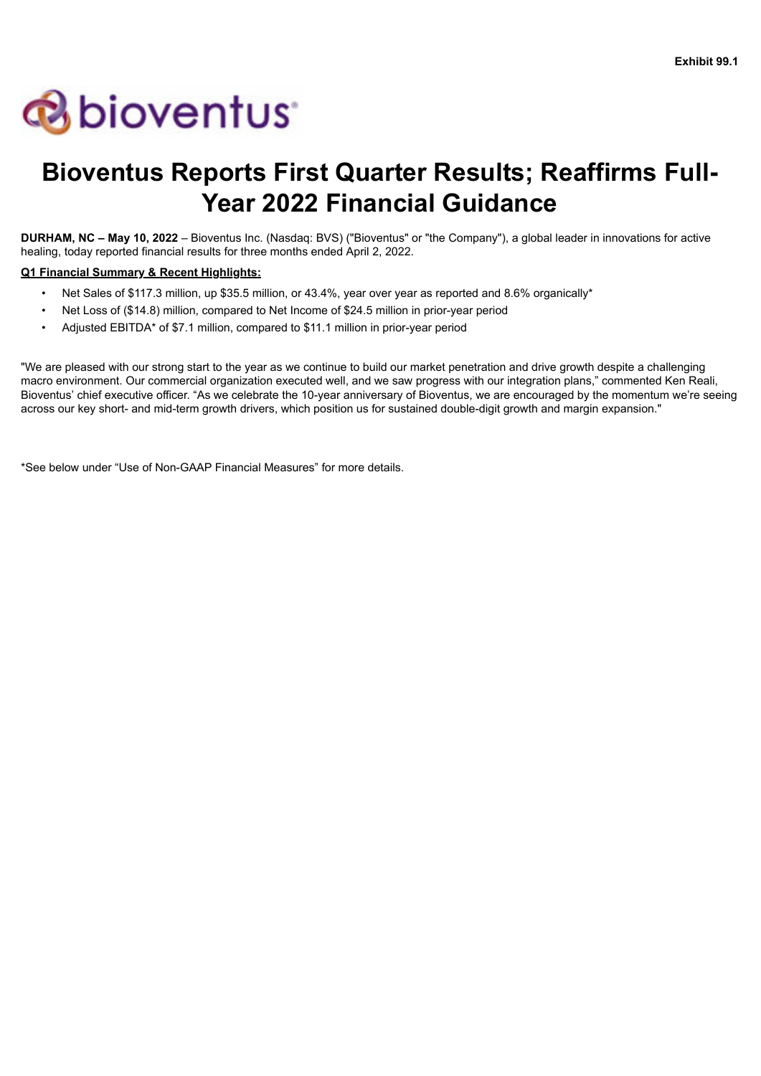# <span id="page-2-0"></span>**& bioventus**

# **Bioventus Reports First Quarter Results; Reaffirms Full-Year 2022 Financial Guidance**

**DURHAM, NC – May 10, 2022** – Bioventus Inc. (Nasdaq: BVS) ("Bioventus" or "the Company"), a global leader in innovations for active healing, today reported financial results for three months ended April 2, 2022.

# **Q1 Financial Summary & Recent Highlights:**

- Net Sales of \$117.3 million, up \$35.5 million, or 43.4%, year over year as reported and 8.6% organically\*
- Net Loss of (\$14.8) million, compared to Net Income of \$24.5 million in prior-year period
- Adjusted EBITDA\* of \$7.1 million, compared to \$11.1 million in prior-year period

"We are pleased with our strong start to the year as we continue to build our market penetration and drive growth despite a challenging macro environment. Our commercial organization executed well, and we saw progress with our integration plans," commented Ken Reali, Bioventus' chief executive officer. "As we celebrate the 10-year anniversary of Bioventus, we are encouraged by the momentum we're seeing across our key short- and mid-term growth drivers, which position us for sustained double-digit growth and margin expansion."

\*See below under "Use of Non-GAAP Financial Measures" for more details.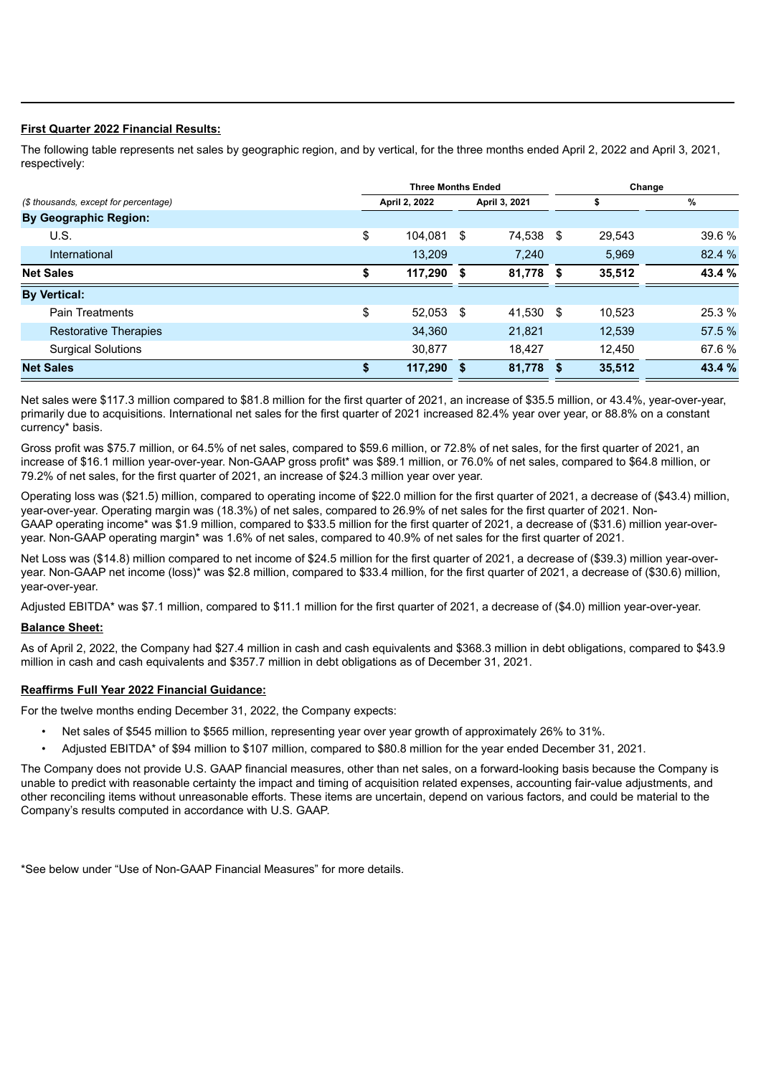## **First Quarter 2022 Financial Results:**

The following table represents net sales by geographic region, and by vertical, for the three months ended April 2, 2022 and April 3, 2021, respectively:

|                                       | <b>Three Months Ended</b> |               |      |               |  | Change |        |  |  |
|---------------------------------------|---------------------------|---------------|------|---------------|--|--------|--------|--|--|
| (\$ thousands, except for percentage) |                           | April 2, 2022 |      | April 3, 2021 |  |        | %      |  |  |
| <b>By Geographic Region:</b>          |                           |               |      |               |  |        |        |  |  |
| U.S.                                  | \$                        | 104.081       | - \$ | 74.538 \$     |  | 29.543 | 39.6 % |  |  |
| International                         |                           | 13,209        |      | 7.240         |  | 5,969  | 82.4 % |  |  |
| <b>Net Sales</b>                      | \$                        | 117,290 \$    |      | 81,778 \$     |  | 35,512 | 43.4 % |  |  |
| <b>By Vertical:</b>                   |                           |               |      |               |  |        |        |  |  |
| <b>Pain Treatments</b>                | \$                        | 52.053 \$     |      | 41.530 \$     |  | 10.523 | 25.3 % |  |  |
| <b>Restorative Therapies</b>          |                           | 34,360        |      | 21.821        |  | 12.539 | 57.5 % |  |  |
| <b>Surgical Solutions</b>             |                           | 30.877        |      | 18.427        |  | 12,450 | 67.6 % |  |  |
| <b>Net Sales</b>                      | \$                        | 117,290       |      | 81,778 \$     |  | 35,512 | 43.4 % |  |  |

Net sales were \$117.3 million compared to \$81.8 million for the first quarter of 2021, an increase of \$35.5 million, or 43.4%, year-over-year, primarily due to acquisitions. International net sales for the first quarter of 2021 increased 82.4% year over year, or 88.8% on a constant currency\* basis.

Gross profit was \$75.7 million, or 64.5% of net sales, compared to \$59.6 million, or 72.8% of net sales, for the first quarter of 2021, an increase of \$16.1 million year-over-year. Non-GAAP gross profit\* was \$89.1 million, or 76.0% of net sales, compared to \$64.8 million, or 79.2% of net sales, for the first quarter of 2021, an increase of \$24.3 million year over year.

Operating loss was (\$21.5) million, compared to operating income of \$22.0 million for the first quarter of 2021, a decrease of (\$43.4) million, year-over-year. Operating margin was (18.3%) of net sales, compared to 26.9% of net sales for the first quarter of 2021. Non-GAAP operating income\* was \$1.9 million, compared to \$33.5 million for the first quarter of 2021, a decrease of (\$31.6) million year-overyear. Non-GAAP operating margin\* was 1.6% of net sales, compared to 40.9% of net sales for the first quarter of 2021.

Net Loss was (\$14.8) million compared to net income of \$24.5 million for the first quarter of 2021, a decrease of (\$39.3) million year-overyear. Non-GAAP net income (loss)\* was \$2.8 million, compared to \$33.4 million, for the first quarter of 2021, a decrease of (\$30.6) million, year-over-year.

Adjusted EBITDA\* was \$7.1 million, compared to \$11.1 million for the first quarter of 2021, a decrease of (\$4.0) million year-over-year.

#### **Balance Sheet:**

As of April 2, 2022, the Company had \$27.4 million in cash and cash equivalents and \$368.3 million in debt obligations, compared to \$43.9 million in cash and cash equivalents and \$357.7 million in debt obligations as of December 31, 2021.

# **Reaffirms Full Year 2022 Financial Guidance:**

For the twelve months ending December 31, 2022, the Company expects:

- Net sales of \$545 million to \$565 million, representing year over year growth of approximately 26% to 31%.
- Adjusted EBITDA\* of \$94 million to \$107 million, compared to \$80.8 million for the year ended December 31, 2021.

The Company does not provide U.S. GAAP financial measures, other than net sales, on a forward-looking basis because the Company is unable to predict with reasonable certainty the impact and timing of acquisition related expenses, accounting fair-value adjustments, and other reconciling items without unreasonable efforts. These items are uncertain, depend on various factors, and could be material to the Company's results computed in accordance with U.S. GAAP.

\*See below under "Use of Non-GAAP Financial Measures" for more details.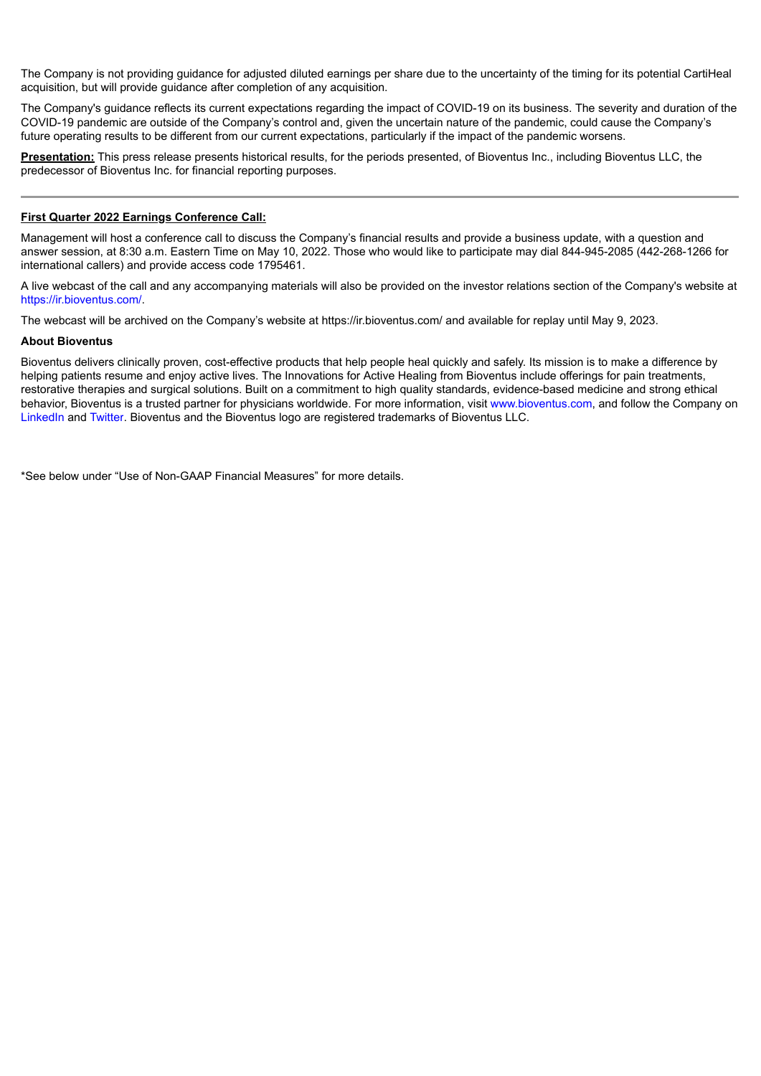The Company is not providing guidance for adjusted diluted earnings per share due to the uncertainty of the timing for its potential CartiHeal acquisition, but will provide guidance after completion of any acquisition.

The Company's guidance reflects its current expectations regarding the impact of COVID-19 on its business. The severity and duration of the COVID-19 pandemic are outside of the Company's control and, given the uncertain nature of the pandemic, could cause the Company's future operating results to be different from our current expectations, particularly if the impact of the pandemic worsens.

**Presentation:** This press release presents historical results, for the periods presented, of Bioventus Inc., including Bioventus LLC, the predecessor of Bioventus Inc. for financial reporting purposes.

#### **First Quarter 2022 Earnings Conference Call:**

Management will host a conference call to discuss the Company's financial results and provide a business update, with a question and answer session, at 8:30 a.m. Eastern Time on May 10, 2022. Those who would like to participate may dial 844-945-2085 (442-268-1266 for international callers) and provide access code 1795461.

A live webcast of the call and any accompanying materials will also be provided on the investor relations section of the Company's website at https://ir.bioventus.com/.

The webcast will be archived on the Company's website at https://ir.bioventus.com/ and available for replay until May 9, 2023.

#### **About Bioventus**

Bioventus delivers clinically proven, cost-effective products that help people heal quickly and safely. Its mission is to make a difference by helping patients resume and enjoy active lives. The Innovations for Active Healing from Bioventus include offerings for pain treatments, restorative therapies and surgical solutions. Built on a commitment to high quality standards, evidence-based medicine and strong ethical behavior, Bioventus is a trusted partner for physicians worldwide. For more information, visit www.bioventus.com, and follow the Company on LinkedIn and Twitter. Bioventus and the Bioventus logo are registered trademarks of Bioventus LLC.

\*See below under "Use of Non-GAAP Financial Measures" for more details.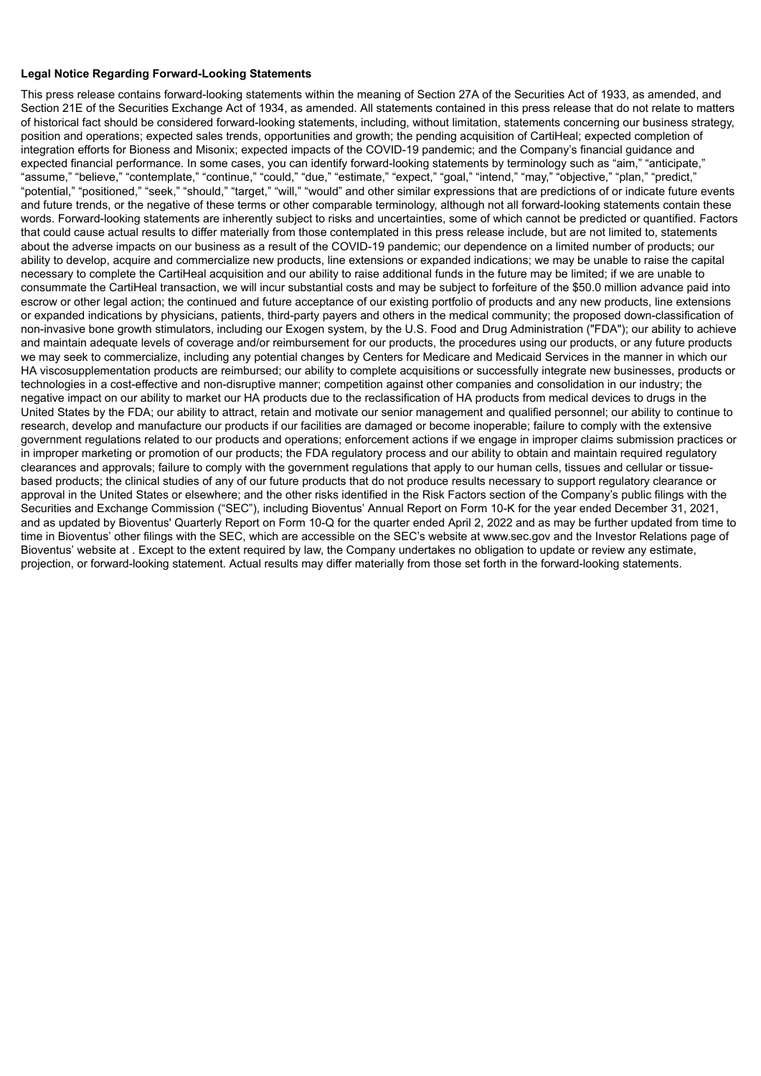#### **Legal Notice Regarding Forward-Looking Statements**

This press release contains forward-looking statements within the meaning of Section 27A of the Securities Act of 1933, as amended, and Section 21E of the Securities Exchange Act of 1934, as amended. All statements contained in this press release that do not relate to matters of historical fact should be considered forward-looking statements, including, without limitation, statements concerning our business strategy, position and operations; expected sales trends, opportunities and growth; the pending acquisition of CartiHeal; expected completion of integration efforts for Bioness and Misonix; expected impacts of the COVID-19 pandemic; and the Company's financial guidance and expected financial performance. In some cases, you can identify forward-looking statements by terminology such as "aim," "anticipate," "assume," "believe," "contemplate," "continue," "could," "due," "estimate," "expect," "goal," "intend," "may," "objective," "plan," "predict," "potential," "positioned," "seek," "should," "target," "will," "would" and other similar expressions that are predictions of or indicate future events and future trends, or the negative of these terms or other comparable terminology, although not all forward-looking statements contain these words. Forward-looking statements are inherently subject to risks and uncertainties, some of which cannot be predicted or quantified. Factors that could cause actual results to differ materially from those contemplated in this press release include, but are not limited to, statements about the adverse impacts on our business as a result of the COVID-19 pandemic; our dependence on a limited number of products; our ability to develop, acquire and commercialize new products, line extensions or expanded indications; we may be unable to raise the capital necessary to complete the CartiHeal acquisition and our ability to raise additional funds in the future may be limited; if we are unable to consummate the CartiHeal transaction, we will incur substantial costs and may be subject to forfeiture of the \$50.0 million advance paid into escrow or other legal action; the continued and future acceptance of our existing portfolio of products and any new products, line extensions or expanded indications by physicians, patients, third-party payers and others in the medical community; the proposed down-classification of non-invasive bone growth stimulators, including our Exogen system, by the U.S. Food and Drug Administration ("FDA"); our ability to achieve and maintain adequate levels of coverage and/or reimbursement for our products, the procedures using our products, or any future products we may seek to commercialize, including any potential changes by Centers for Medicare and Medicaid Services in the manner in which our HA viscosupplementation products are reimbursed; our ability to complete acquisitions or successfully integrate new businesses, products or technologies in a cost-effective and non-disruptive manner; competition against other companies and consolidation in our industry; the negative impact on our ability to market our HA products due to the reclassification of HA products from medical devices to drugs in the United States by the FDA; our ability to attract, retain and motivate our senior management and qualified personnel; our ability to continue to research, develop and manufacture our products if our facilities are damaged or become inoperable; failure to comply with the extensive government regulations related to our products and operations; enforcement actions if we engage in improper claims submission practices or in improper marketing or promotion of our products; the FDA regulatory process and our ability to obtain and maintain required regulatory clearances and approvals; failure to comply with the government regulations that apply to our human cells, tissues and cellular or tissuebased products; the clinical studies of any of our future products that do not produce results necessary to support regulatory clearance or approval in the United States or elsewhere; and the other risks identified in the Risk Factors section of the Company's public filings with the Securities and Exchange Commission ("SEC"), including Bioventus' Annual Report on Form 10-K for the year ended December 31, 2021, and as updated by Bioventus' Quarterly Report on Form 10-Q for the quarter ended April 2, 2022 and as may be further updated from time to time in Bioventus' other filings with the SEC, which are accessible on the SEC's website at www.sec.gov and the Investor Relations page of Bioventus' website at . Except to the extent required by law, the Company undertakes no obligation to update or review any estimate, projection, or forward-looking statement. Actual results may differ materially from those set forth in the forward-looking statements.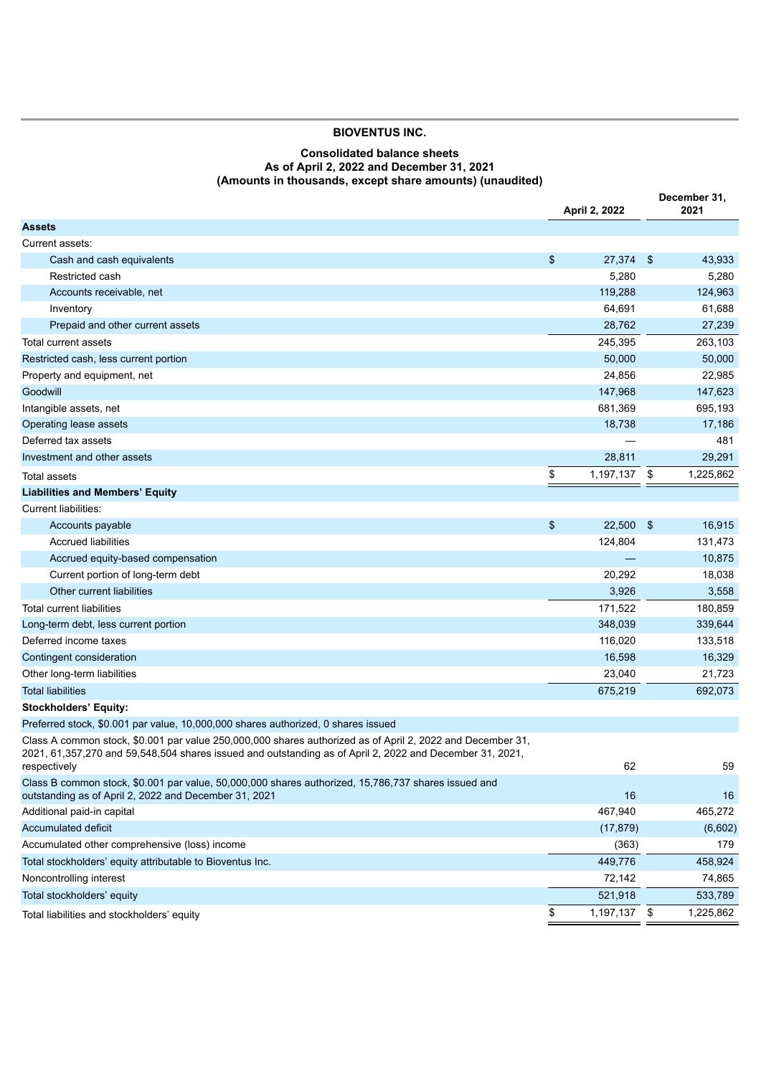# **BIOVENTUS INC.**

## **Consolidated balance sheets As of April 2, 2022 and December 31, 2021 (Amounts in thousands, except share amounts) (unaudited)**

**December 31,**

|                                                                                                                                                                                                                                        | April 2, 2022      |      | 2021      |
|----------------------------------------------------------------------------------------------------------------------------------------------------------------------------------------------------------------------------------------|--------------------|------|-----------|
| <b>Assets</b>                                                                                                                                                                                                                          |                    |      |           |
| Current assets:                                                                                                                                                                                                                        |                    |      |           |
| Cash and cash equivalents                                                                                                                                                                                                              | \$<br>27,374       | - \$ | 43,933    |
| Restricted cash                                                                                                                                                                                                                        | 5,280              |      | 5,280     |
| Accounts receivable, net                                                                                                                                                                                                               | 119,288            |      | 124,963   |
| Inventory                                                                                                                                                                                                                              | 64,691             |      | 61,688    |
| Prepaid and other current assets                                                                                                                                                                                                       | 28,762             |      | 27,239    |
| Total current assets                                                                                                                                                                                                                   | 245,395            |      | 263,103   |
| Restricted cash, less current portion                                                                                                                                                                                                  | 50,000             |      | 50,000    |
| Property and equipment, net                                                                                                                                                                                                            | 24,856             |      | 22,985    |
| Goodwill                                                                                                                                                                                                                               | 147,968            |      | 147,623   |
| Intangible assets, net                                                                                                                                                                                                                 | 681,369            |      | 695,193   |
| Operating lease assets                                                                                                                                                                                                                 | 18,738             |      | 17,186    |
| Deferred tax assets                                                                                                                                                                                                                    |                    |      | 481       |
| Investment and other assets                                                                                                                                                                                                            | 28,811             |      | 29,291    |
| Total assets                                                                                                                                                                                                                           | \$<br>1,197,137 \$ |      | 1,225,862 |
| <b>Liabilities and Members' Equity</b>                                                                                                                                                                                                 |                    |      |           |
| Current liabilities:                                                                                                                                                                                                                   |                    |      |           |
| Accounts payable                                                                                                                                                                                                                       | \$<br>22,500       | - \$ | 16,915    |
| <b>Accrued liabilities</b>                                                                                                                                                                                                             | 124,804            |      | 131,473   |
| Accrued equity-based compensation                                                                                                                                                                                                      |                    |      | 10,875    |
| Current portion of long-term debt                                                                                                                                                                                                      | 20,292             |      | 18,038    |
| Other current liabilities                                                                                                                                                                                                              | 3,926              |      | 3,558     |
| <b>Total current liabilities</b>                                                                                                                                                                                                       | 171,522            |      | 180,859   |
| Long-term debt, less current portion                                                                                                                                                                                                   | 348,039            |      | 339,644   |
| Deferred income taxes                                                                                                                                                                                                                  | 116,020            |      | 133,518   |
| Contingent consideration                                                                                                                                                                                                               | 16,598             |      | 16,329    |
| Other long-term liabilities                                                                                                                                                                                                            | 23,040             |      | 21,723    |
| <b>Total liabilities</b>                                                                                                                                                                                                               | 675,219            |      | 692,073   |
| <b>Stockholders' Equity:</b>                                                                                                                                                                                                           |                    |      |           |
| Preferred stock, \$0.001 par value, 10,000,000 shares authorized, 0 shares issued                                                                                                                                                      |                    |      |           |
| Class A common stock, \$0.001 par value 250,000,000 shares authorized as of April 2, 2022 and December 31,<br>2021, 61,357,270 and 59,548,504 shares issued and outstanding as of April 2, 2022 and December 31, 2021,<br>respectively | 62                 |      | 59        |
| Class B common stock, \$0.001 par value, 50,000,000 shares authorized, 15,786,737 shares issued and<br>outstanding as of April 2, 2022 and December 31, 2021                                                                           | 16                 |      | 16        |
| Additional paid-in capital                                                                                                                                                                                                             | 467,940            |      | 465,272   |
| Accumulated deficit                                                                                                                                                                                                                    | (17, 879)          |      | (6,602)   |
| Accumulated other comprehensive (loss) income                                                                                                                                                                                          | (363)              |      | 179       |
| Total stockholders' equity attributable to Bioventus Inc.                                                                                                                                                                              | 449,776            |      | 458,924   |
| Noncontrolling interest                                                                                                                                                                                                                | 72,142             |      | 74,865    |
| Total stockholders' equity                                                                                                                                                                                                             | 521,918            |      | 533,789   |
| Total liabilities and stockholders' equity                                                                                                                                                                                             | \$<br>1,197,137 \$ |      | 1,225,862 |
|                                                                                                                                                                                                                                        |                    |      |           |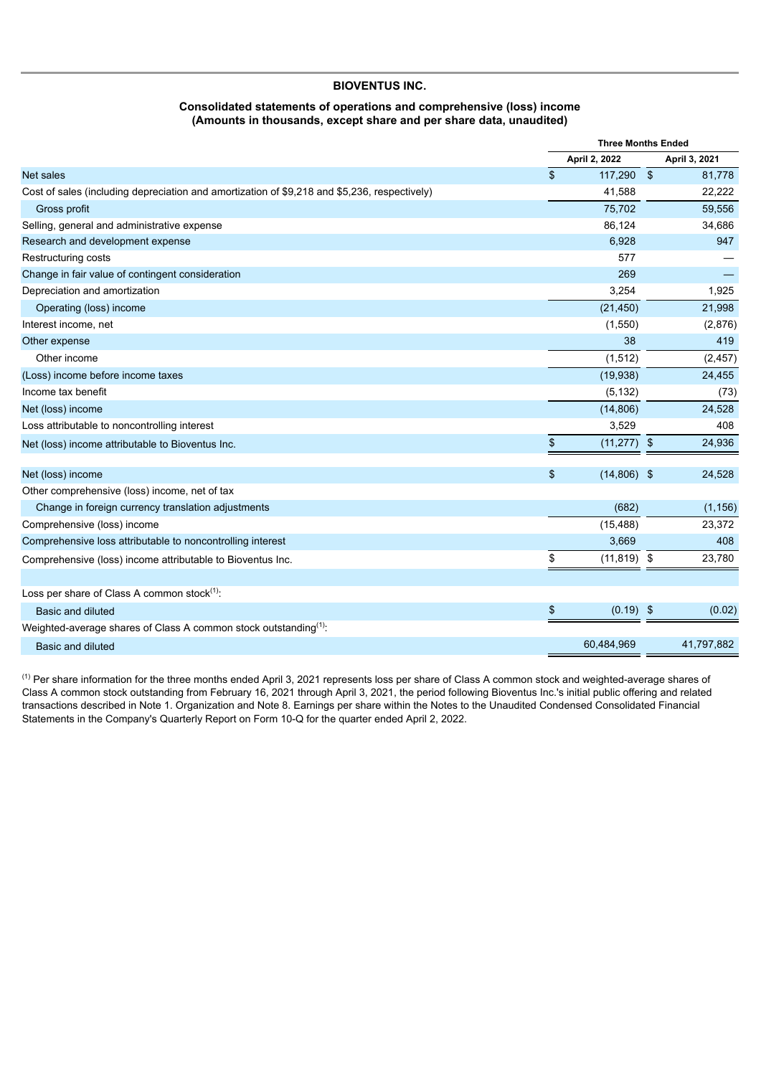#### **BIOVENTUS INC.**

#### **Consolidated statements of operations and comprehensive (loss) income (Amounts in thousands, except share and per share data, unaudited)**

|                                                                                              |               | <b>Three Months Ended</b> |    |               |
|----------------------------------------------------------------------------------------------|---------------|---------------------------|----|---------------|
|                                                                                              |               | April 2, 2022             |    | April 3, 2021 |
| <b>Net sales</b>                                                                             | $\sqrt[6]{3}$ | 117,290 \$                |    | 81,778        |
| Cost of sales (including depreciation and amortization of \$9,218 and \$5,236, respectively) |               | 41,588                    |    | 22,222        |
| Gross profit                                                                                 |               | 75,702                    |    | 59,556        |
| Selling, general and administrative expense                                                  |               | 86,124                    |    | 34,686        |
| Research and development expense                                                             |               | 6,928                     |    | 947           |
| Restructuring costs                                                                          |               | 577                       |    |               |
| Change in fair value of contingent consideration                                             |               | 269                       |    |               |
| Depreciation and amortization                                                                |               | 3,254                     |    | 1,925         |
| Operating (loss) income                                                                      |               | (21, 450)                 |    | 21,998        |
| Interest income, net                                                                         |               | (1,550)                   |    | (2,876)       |
| Other expense                                                                                |               | 38                        |    | 419           |
| Other income                                                                                 |               | (1, 512)                  |    | (2, 457)      |
| (Loss) income before income taxes                                                            |               | (19, 938)                 |    | 24,455        |
| Income tax benefit                                                                           |               | (5, 132)                  |    | (73)          |
| Net (loss) income                                                                            |               | (14, 806)                 |    | 24,528        |
| Loss attributable to noncontrolling interest                                                 |               | 3,529                     |    | 408           |
| Net (loss) income attributable to Bioventus Inc.                                             | \$            | $(11, 277)$ \$            |    | 24,936        |
| Net (loss) income                                                                            | \$            | $(14,806)$ \$             |    | 24,528        |
| Other comprehensive (loss) income, net of tax                                                |               |                           |    |               |
| Change in foreign currency translation adjustments                                           |               | (682)                     |    | (1, 156)      |
| Comprehensive (loss) income                                                                  |               | (15, 488)                 |    | 23,372        |
| Comprehensive loss attributable to noncontrolling interest                                   |               | 3,669                     |    | 408           |
| Comprehensive (loss) income attributable to Bioventus Inc.                                   | \$            | $(11, 819)$ \$            |    | 23,780        |
|                                                                                              |               |                           |    |               |
| Loss per share of Class A common stock <sup>(1)</sup> :                                      |               |                           |    |               |
| Basic and diluted                                                                            | \$            | (0.19)                    | \$ | (0.02)        |
| Weighted-average shares of Class A common stock outstanding <sup>(1)</sup> :                 |               |                           |    |               |
| Basic and diluted                                                                            |               | 60,484,969                |    | 41,797,882    |

 $^{(1)}$  Per share information for the three months ended April 3, 2021 represents loss per share of Class A common stock and weighted-average shares of Class A common stock outstanding from February 16, 2021 through April 3, 2021, the period following Bioventus Inc.'s initial public offering and related transactions described in Note 1. Organization and Note 8. Earnings per share within the Notes to the Unaudited Condensed Consolidated Financial Statements in the Company's Quarterly Report on Form 10-Q for the quarter ended April 2, 2022.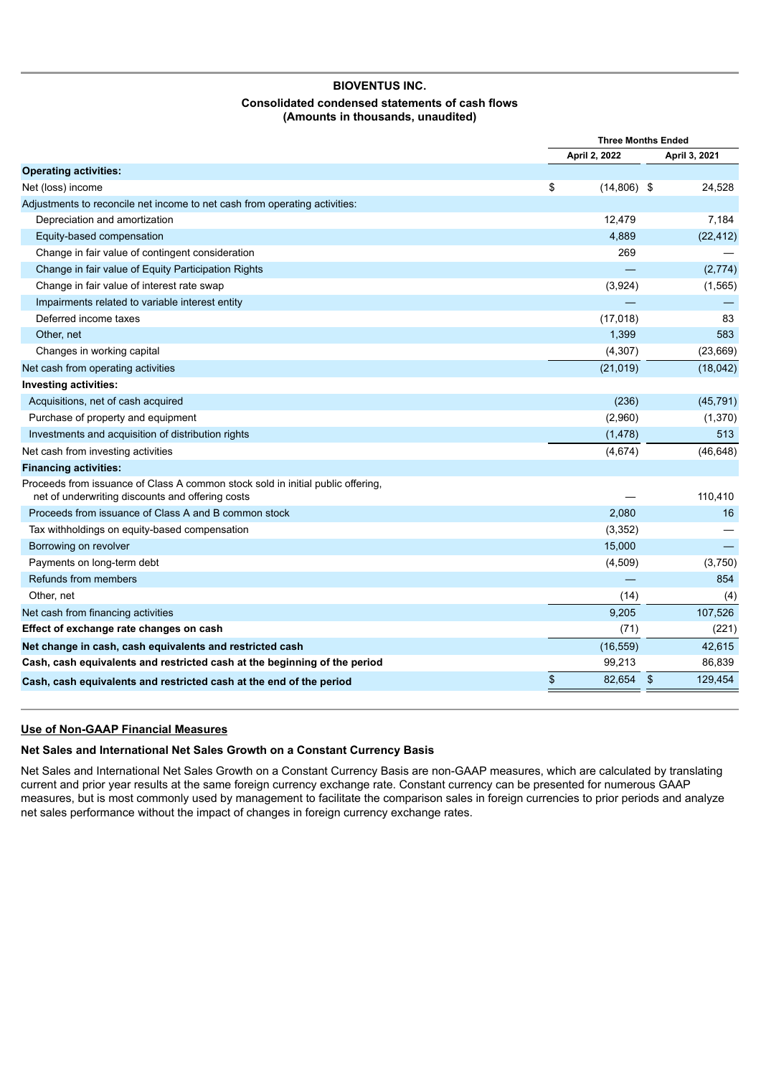# **BIOVENTUS INC. Consolidated condensed statements of cash flows (Amounts in thousands, unaudited)**

|                                                                                                                                     |                     | <b>Three Months Ended</b> |
|-------------------------------------------------------------------------------------------------------------------------------------|---------------------|---------------------------|
|                                                                                                                                     | April 2, 2022       | April 3, 2021             |
| <b>Operating activities:</b>                                                                                                        |                     |                           |
| Net (loss) income                                                                                                                   | \$<br>$(14,806)$ \$ | 24,528                    |
| Adjustments to reconcile net income to net cash from operating activities:                                                          |                     |                           |
| Depreciation and amortization                                                                                                       | 12,479              | 7,184                     |
| Equity-based compensation                                                                                                           | 4,889               | (22, 412)                 |
| Change in fair value of contingent consideration                                                                                    | 269                 |                           |
| Change in fair value of Equity Participation Rights                                                                                 |                     | (2,774)                   |
| Change in fair value of interest rate swap                                                                                          | (3,924)             | (1, 565)                  |
| Impairments related to variable interest entity                                                                                     |                     |                           |
| Deferred income taxes                                                                                                               | (17, 018)           | 83                        |
| Other, net                                                                                                                          | 1,399               | 583                       |
| Changes in working capital                                                                                                          | (4, 307)            | (23, 669)                 |
| Net cash from operating activities                                                                                                  | (21, 019)           | (18, 042)                 |
| <b>Investing activities:</b>                                                                                                        |                     |                           |
| Acquisitions, net of cash acquired                                                                                                  | (236)               | (45, 791)                 |
| Purchase of property and equipment                                                                                                  | (2,960)             | (1,370)                   |
| Investments and acquisition of distribution rights                                                                                  | (1, 478)            | 513                       |
| Net cash from investing activities                                                                                                  | (4,674)             | (46, 648)                 |
| <b>Financing activities:</b>                                                                                                        |                     |                           |
| Proceeds from issuance of Class A common stock sold in initial public offering,<br>net of underwriting discounts and offering costs |                     | 110,410                   |
| Proceeds from issuance of Class A and B common stock                                                                                | 2,080               | 16                        |
| Tax withholdings on equity-based compensation                                                                                       | (3, 352)            |                           |
| Borrowing on revolver                                                                                                               | 15,000              |                           |
| Payments on long-term debt                                                                                                          | (4,509)             | (3,750)                   |
| Refunds from members                                                                                                                |                     | 854                       |
| Other, net                                                                                                                          | (14)                | (4)                       |
| Net cash from financing activities                                                                                                  | 9,205               | 107,526                   |
| Effect of exchange rate changes on cash                                                                                             | (71)                | (221)                     |
| Net change in cash, cash equivalents and restricted cash                                                                            | (16, 559)           | 42,615                    |
| Cash, cash equivalents and restricted cash at the beginning of the period                                                           | 99,213              | 86,839                    |
| Cash, cash equivalents and restricted cash at the end of the period                                                                 | \$<br>82,654        | $\sqrt[6]{3}$<br>129,454  |
|                                                                                                                                     |                     |                           |

# **Use of Non-GAAP Financial Measures**

# **Net Sales and International Net Sales Growth on a Constant Currency Basis**

Net Sales and International Net Sales Growth on a Constant Currency Basis are non-GAAP measures, which are calculated by translating current and prior year results at the same foreign currency exchange rate. Constant currency can be presented for numerous GAAP measures, but is most commonly used by management to facilitate the comparison sales in foreign currencies to prior periods and analyze net sales performance without the impact of changes in foreign currency exchange rates.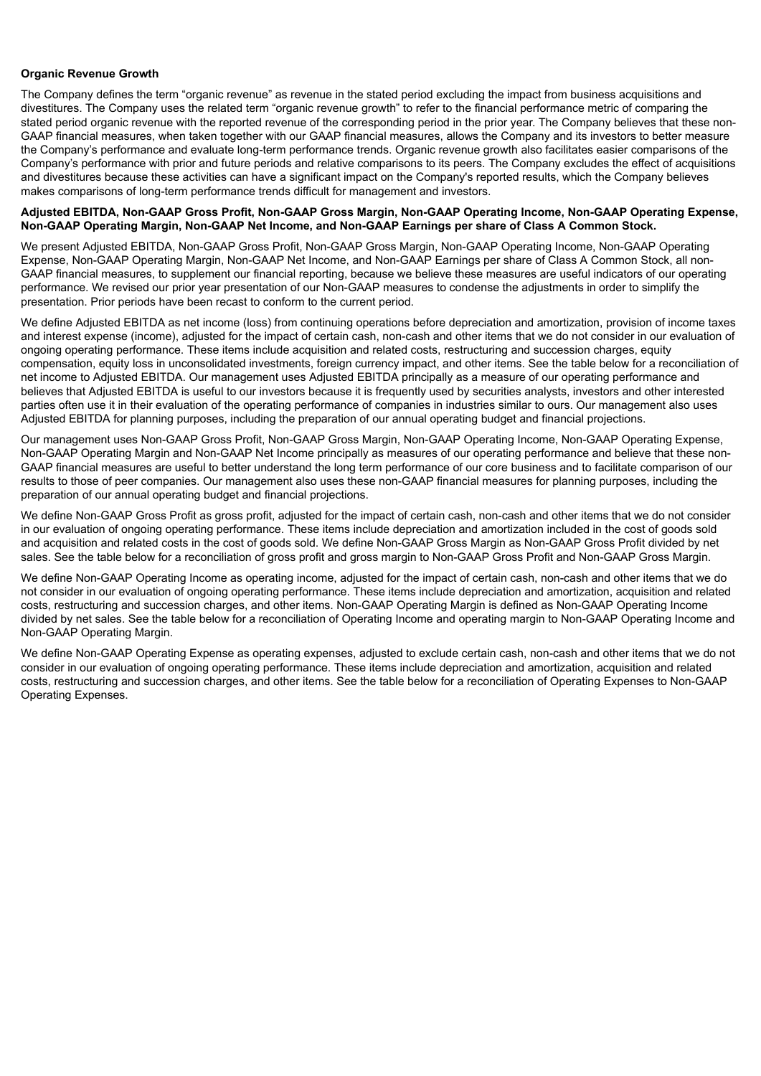#### **Organic Revenue Growth**

The Company defines the term "organic revenue" as revenue in the stated period excluding the impact from business acquisitions and divestitures. The Company uses the related term "organic revenue growth" to refer to the financial performance metric of comparing the stated period organic revenue with the reported revenue of the corresponding period in the prior year. The Company believes that these non-GAAP financial measures, when taken together with our GAAP financial measures, allows the Company and its investors to better measure the Company's performance and evaluate long-term performance trends. Organic revenue growth also facilitates easier comparisons of the Company's performance with prior and future periods and relative comparisons to its peers. The Company excludes the effect of acquisitions and divestitures because these activities can have a significant impact on the Company's reported results, which the Company believes makes comparisons of long-term performance trends difficult for management and investors.

#### **Adjusted EBITDA, Non-GAAP Gross Profit, Non-GAAP Gross Margin, Non-GAAP Operating Income, Non-GAAP Operating Expense, Non-GAAP Operating Margin, Non-GAAP Net Income, and Non-GAAP Earnings per share of Class A Common Stock.**

We present Adjusted EBITDA, Non-GAAP Gross Profit, Non-GAAP Gross Margin, Non-GAAP Operating Income, Non-GAAP Operating Expense, Non-GAAP Operating Margin, Non-GAAP Net Income, and Non-GAAP Earnings per share of Class A Common Stock, all non-GAAP financial measures, to supplement our financial reporting, because we believe these measures are useful indicators of our operating performance. We revised our prior year presentation of our Non-GAAP measures to condense the adjustments in order to simplify the presentation. Prior periods have been recast to conform to the current period.

We define Adjusted EBITDA as net income (loss) from continuing operations before depreciation and amortization, provision of income taxes and interest expense (income), adjusted for the impact of certain cash, non-cash and other items that we do not consider in our evaluation of ongoing operating performance. These items include acquisition and related costs, restructuring and succession charges, equity compensation, equity loss in unconsolidated investments, foreign currency impact, and other items. See the table below for a reconciliation of net income to Adjusted EBITDA. Our management uses Adjusted EBITDA principally as a measure of our operating performance and believes that Adjusted EBITDA is useful to our investors because it is frequently used by securities analysts, investors and other interested parties often use it in their evaluation of the operating performance of companies in industries similar to ours. Our management also uses Adjusted EBITDA for planning purposes, including the preparation of our annual operating budget and financial projections.

Our management uses Non-GAAP Gross Profit, Non-GAAP Gross Margin, Non-GAAP Operating Income, Non-GAAP Operating Expense, Non-GAAP Operating Margin and Non-GAAP Net Income principally as measures of our operating performance and believe that these non-GAAP financial measures are useful to better understand the long term performance of our core business and to facilitate comparison of our results to those of peer companies. Our management also uses these non-GAAP financial measures for planning purposes, including the preparation of our annual operating budget and financial projections.

We define Non-GAAP Gross Profit as gross profit, adjusted for the impact of certain cash, non-cash and other items that we do not consider in our evaluation of ongoing operating performance. These items include depreciation and amortization included in the cost of goods sold and acquisition and related costs in the cost of goods sold. We define Non-GAAP Gross Margin as Non-GAAP Gross Profit divided by net sales. See the table below for a reconciliation of gross profit and gross margin to Non-GAAP Gross Profit and Non-GAAP Gross Margin.

We define Non-GAAP Operating Income as operating income, adjusted for the impact of certain cash, non-cash and other items that we do not consider in our evaluation of ongoing operating performance. These items include depreciation and amortization, acquisition and related costs, restructuring and succession charges, and other items. Non-GAAP Operating Margin is defined as Non-GAAP Operating Income divided by net sales. See the table below for a reconciliation of Operating Income and operating margin to Non-GAAP Operating Income and Non-GAAP Operating Margin.

We define Non-GAAP Operating Expense as operating expenses, adjusted to exclude certain cash, non-cash and other items that we do not consider in our evaluation of ongoing operating performance. These items include depreciation and amortization, acquisition and related costs, restructuring and succession charges, and other items. See the table below for a reconciliation of Operating Expenses to Non-GAAP Operating Expenses.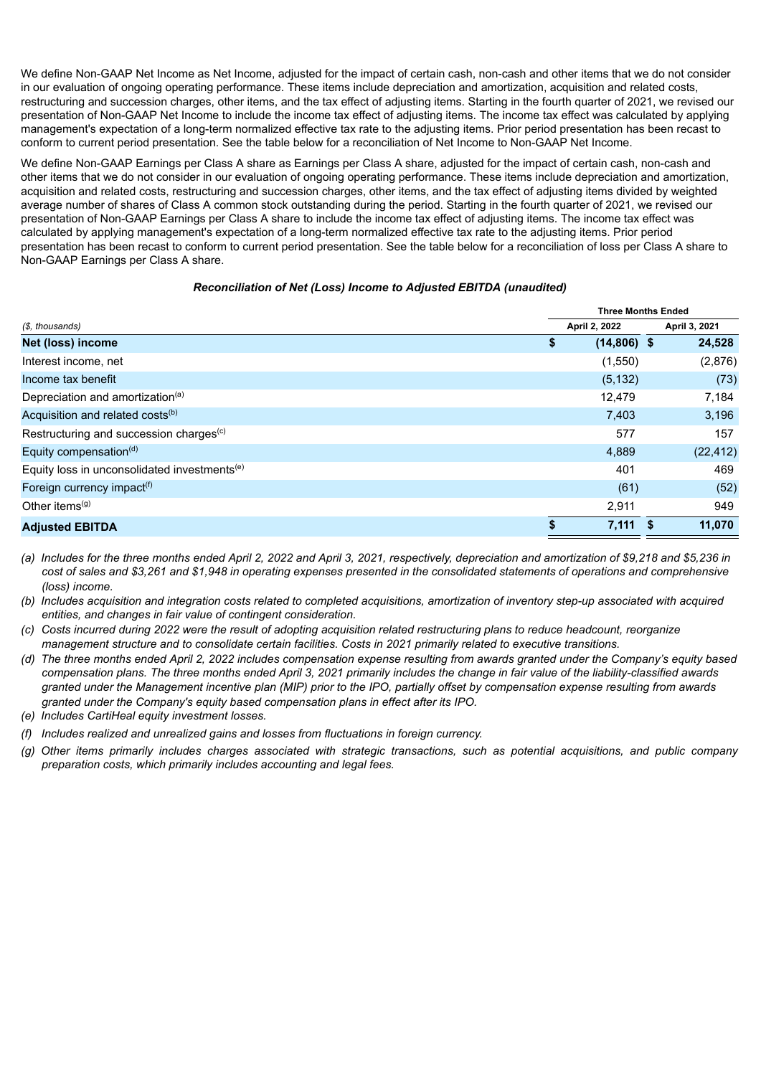We define Non-GAAP Net Income as Net Income, adjusted for the impact of certain cash, non-cash and other items that we do not consider in our evaluation of ongoing operating performance. These items include depreciation and amortization, acquisition and related costs, restructuring and succession charges, other items, and the tax effect of adjusting items. Starting in the fourth quarter of 2021, we revised our presentation of Non-GAAP Net Income to include the income tax effect of adjusting items. The income tax effect was calculated by applying management's expectation of a long-term normalized effective tax rate to the adjusting items. Prior period presentation has been recast to conform to current period presentation. See the table below for a reconciliation of Net Income to Non-GAAP Net Income.

We define Non-GAAP Earnings per Class A share as Earnings per Class A share, adjusted for the impact of certain cash, non-cash and other items that we do not consider in our evaluation of ongoing operating performance. These items include depreciation and amortization, acquisition and related costs, restructuring and succession charges, other items, and the tax effect of adjusting items divided by weighted average number of shares of Class A common stock outstanding during the period. Starting in the fourth quarter of 2021, we revised our presentation of Non-GAAP Earnings per Class A share to include the income tax effect of adjusting items. The income tax effect was calculated by applying management's expectation of a long-term normalized effective tax rate to the adjusting items. Prior period presentation has been recast to conform to current period presentation. See the table below for a reconciliation of loss per Class A share to Non-GAAP Earnings per Class A share.

# *Reconciliation of Net (Loss) Income to Adjusted EBITDA (unaudited)*

|                                                          |                     | <b>Three Months Ended</b> |               |  |
|----------------------------------------------------------|---------------------|---------------------------|---------------|--|
| (\$, thousands)                                          | April 2, 2022       |                           | April 3, 2021 |  |
| Net (loss) income                                        | \$<br>$(14,806)$ \$ |                           | 24,528        |  |
| Interest income, net                                     | (1,550)             |                           | (2,876)       |  |
| Income tax benefit                                       | (5, 132)            |                           | (73)          |  |
| Depreciation and amortization <sup>(a)</sup>             | 12,479              |                           | 7,184         |  |
| Acquisition and related costs <sup>(b)</sup>             | 7,403               |                           | 3,196         |  |
| Restructuring and succession charges <sup>(c)</sup>      | 577                 |                           | 157           |  |
| Equity compensation <sup>(d)</sup>                       | 4,889               |                           | (22, 412)     |  |
| Equity loss in unconsolidated investments <sup>(e)</sup> | 401                 |                           | 469           |  |
| Foreign currency impact <sup>(f)</sup>                   | (61)                |                           | (52)          |  |
| Other items $(9)$                                        | 2,911               |                           | 949           |  |
| <b>Adjusted EBITDA</b>                                   | 7,111               |                           | 11,070        |  |

- (a) Includes for the three months ended April 2, 2022 and April 3, 2021, respectively, depreciation and amortization of \$9,218 and \$5,236 in cost of sales and \$3,261 and \$1,948 in operating expenses presented in the consolidated statements of operations and comprehensive *(loss) income.*
- (b) Includes acquisition and integration costs related to completed acquisitions, amortization of inventory step-up associated with acquired *entities, and changes in fair value of contingent consideration.*
- (c) Costs incurred during 2022 were the result of adopting acquisition related restructuring plans to reduce headcount, reorganize *management structure and to consolidate certain facilities. Costs in 2021 primarily related to executive transitions.*
- (d) The three months ended April 2, 2022 includes compensation expense resulting from awards granted under the Company's equity based compensation plans. The three months ended April 3, 2021 primarily includes the change in fair value of the liability-classified awards granted under the Management incentive plan (MIP) prior to the IPO, partially offset by compensation expense resulting from awards *granted under the Company's equity based compensation plans in effect after its IPO.*
- *(e) Includes CartiHeal equity investment losses.*
- *(f) Includes realized and unrealized gains and losses from fluctuations in foreign currency.*
- (g) Other items primarily includes charges associated with strategic transactions, such as potential acquisitions, and public company *preparation costs, which primarily includes accounting and legal fees.*